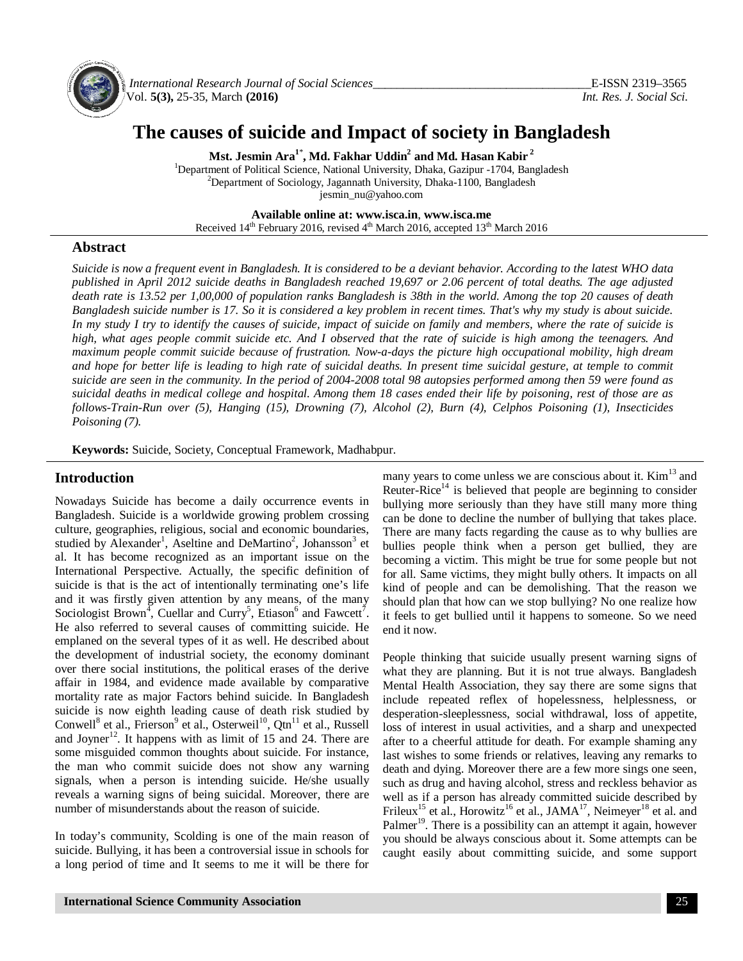

*International Research Journal of Social Sciences\_\_\_\_\_\_\_\_\_\_\_\_\_\_\_\_\_\_\_\_\_\_\_\_\_\_\_\_\_\_\_\_\_\_\_\_*E-ISSN 2319–3565 Vol. **5(3),** 25-35, March **(2016)** *Int. Res. J. Social Sci.*

# **The causes of suicide and Impact of society in Bangladesh**

**Mst. Jesmin Ara<sup>1</sup>**\* **, Md. Fakhar Uddin<sup>2</sup> and Md. Hasan Kabir <sup>2</sup>**

<sup>1</sup>Department of Political Science, National University, Dhaka, Gazipur -1704, Bangladesh <sup>2</sup>Department of Sociology, Jagannath University, Dhaka-1100, Bangladesh [jesmin\\_nu@yahoo.com](mailto:jesmin_nu@yahoo.com) 

**Available online at: [www.isca.in](http://www.isca.in)**, **[www.isca.me](http://www.isca.me)** Received 14<sup>th</sup> February 2016, revised 4<sup>th</sup> March 2016, accepted 13<sup>th</sup> March 2016

## **Abstract**

*Suicide is now a frequent event in Bangladesh. It is considered to be a deviant behavior. According to the latest WHO data published in April 2012 suicide deaths in Bangladesh reached 19,697 or 2.06 percent of total deaths. The age adjusted death rate is 13.52 per 1,00,000 of population ranks Bangladesh is 38th in the world. Among the top 20 causes of death Bangladesh suicide number is 17. So it is considered a key problem in recent times. That's why my study is about suicide. In my study I try to identify the causes of suicide, impact of suicide on family and members, where the rate of suicide is high, what ages people commit suicide etc. And I observed that the rate of suicide is high among the teenagers. And maximum people commit suicide because of frustration. Now-a-days the picture high occupational mobility, high dream*  and hope for better life is leading to high rate of suicidal deaths. In present time suicidal gesture, at temple to commit *suicide are seen in the community. In the period of 2004-2008 total 98 autopsies performed among then 59 were found as suicidal deaths in medical college and hospital. Among them 18 cases ended their life by poisoning, rest of those are as follows-Train-Run over (5), Hanging (15), Drowning (7), Alcohol (2), Burn (4), Celphos Poisoning (1), Insecticides Poisoning (7).*

**Keywords:** Suicide, Society, Conceptual Framework, Madhabpur.

#### **Introduction**

Nowadays Suicide has become a daily occurrence events in Bangladesh. Suicide is a worldwide growing problem crossing culture, geographies, religious, social and economic boundaries, studied by Alexander<sup>1</sup>, Aseltine and DeMartino<sup>2</sup>, Johansson<sup>3</sup> et al. It has become recognized as an important issue on the International Perspective. Actually, the specific definition of suicide is that is the act of intentionally terminating one's life and it was firstly given attention by any means, of the many Sociologist Brown<sup>4</sup>, Cuellar and Curry<sup>5</sup>, Etiason<sup>6</sup> and Fawcett<sup>7</sup>. He also referred to several causes of committing suicide. He emplaned on the several types of it as well. He described about the development of industrial society, the economy dominant over there social institutions, the political erases of the derive affair in 1984, and evidence made available by comparative mortality rate as major Factors behind suicide. In Bangladesh suicide is now eighth leading cause of death risk studied by Conwell<sup>8</sup> et al., Frierson<sup>9</sup> et al., Osterweil<sup>10</sup>, Qtn<sup>11</sup> et al., Russell and Joyner<sup>12</sup>. It happens with as limit of 15 and 24. There are some misguided common thoughts about suicide. For instance, the man who commit suicide does not show any warning signals, when a person is intending suicide. He/she usually reveals a warning signs of being suicidal. Moreover, there are number of misunderstands about the reason of suicide.

In today's community, Scolding is one of the main reason of suicide. Bullying, it has been a controversial issue in schools for a long period of time and It seems to me it will be there for

many years to come unless we are conscious about it.  $Kim<sup>13</sup>$  and Reuter-Rice<sup>14</sup> is believed that people are beginning to consider bullying more seriously than they have still many more thing can be done to decline the number of bullying that takes place. There are many facts regarding the cause as to why bullies are bullies people think when a person get bullied, they are becoming a victim. This might be true for some people but not for all. Same victims, they might bully others. It impacts on all kind of people and can be demolishing. That the reason we should plan that how can we stop bullying? No one realize how it feels to get bullied until it happens to someone. So we need end it now.

People thinking that suicide usually present warning signs of what they are planning. But it is not true always. Bangladesh Mental Health Association, they say there are some signs that include repeated reflex of hopelessness, helplessness, or desperation-sleeplessness, social withdrawal, loss of appetite, loss of interest in usual activities, and a sharp and unexpected after to a cheerful attitude for death. For example shaming any last wishes to some friends or relatives, leaving any remarks to death and dying. Moreover there are a few more sings one seen, such as drug and having alcohol, stress and reckless behavior as well as if a person has already committed suicide described by Frileux<sup>15</sup> et al., Horowitz<sup>16</sup> et al., JAMA<sup>17</sup>, Neimeyer<sup>18</sup> et al. and Palmer<sup>19</sup>. There is a possibility can an attempt it again, however you should be always conscious about it. Some attempts can be caught easily about committing suicide, and some support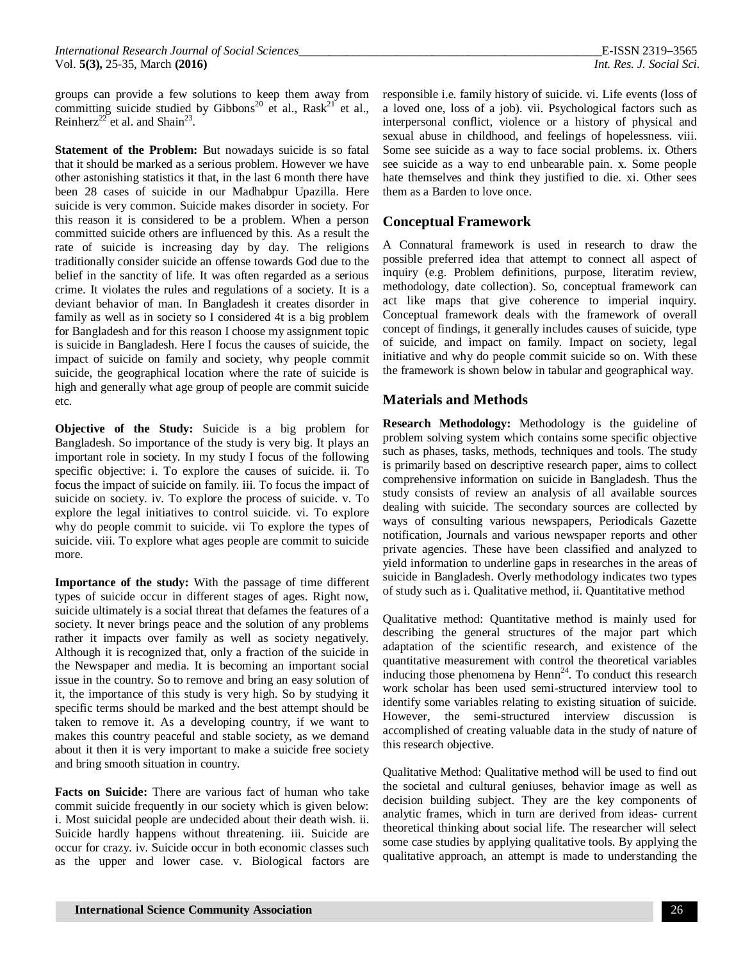groups can provide a few solutions to keep them away from committing suicide studied by Gibbons<sup>20</sup> et al., Rask<sup>21</sup> et al., Reinherz<sup>22</sup> et al. and Shain<sup>23</sup>.

**Statement of the Problem:** But nowadays suicide is so fatal that it should be marked as a serious problem. However we have other astonishing statistics it that, in the last 6 month there have been 28 cases of suicide in our Madhabpur Upazilla. Here suicide is very common. Suicide makes disorder in society. For this reason it is considered to be a problem. When a person committed suicide others are influenced by this. As a result the rate of suicide is increasing day by day. The religions traditionally consider suicide an offense towards God due to the belief in the sanctity of life. It was often regarded as a serious crime. It violates the rules and regulations of a society. It is a deviant behavior of man. In Bangladesh it creates disorder in family as well as in society so I considered 4t is a big problem for Bangladesh and for this reason I choose my assignment topic is suicide in Bangladesh. Here I focus the causes of suicide, the impact of suicide on family and society, why people commit suicide, the geographical location where the rate of suicide is high and generally what age group of people are commit suicide etc.

**Objective of the Study:** Suicide is a big problem for Bangladesh. So importance of the study is very big. It plays an important role in society. In my study I focus of the following specific objective: i. To explore the causes of suicide. ii. To focus the impact of suicide on family. iii. To focus the impact of suicide on society. iv. To explore the process of suicide. v. To explore the legal initiatives to control suicide. vi. To explore why do people commit to suicide. vii To explore the types of suicide. viii. To explore what ages people are commit to suicide more.

**Importance of the study:** With the passage of time different types of suicide occur in different stages of ages. Right now, suicide ultimately is a social threat that defames the features of a society. It never brings peace and the solution of any problems rather it impacts over family as well as society negatively. Although it is recognized that, only a fraction of the suicide in the Newspaper and media. It is becoming an important social issue in the country. So to remove and bring an easy solution of it, the importance of this study is very high. So by studying it specific terms should be marked and the best attempt should be taken to remove it. As a developing country, if we want to makes this country peaceful and stable society, as we demand about it then it is very important to make a suicide free society and bring smooth situation in country.

**Facts on Suicide:** There are various fact of human who take commit suicide frequently in our society which is given below: i. Most suicidal people are undecided about their death wish. ii. Suicide hardly happens without threatening. iii. Suicide are occur for crazy. iv. Suicide occur in both economic classes such as the upper and lower case. v. Biological factors are

responsible i.e. family history of suicide. vi. Life events (loss of a loved one, loss of a job). vii. Psychological factors such as interpersonal conflict, violence or a history of physical and sexual abuse in childhood, and feelings of hopelessness. viii. Some see suicide as a way to face social problems. ix. Others see suicide as a way to end unbearable pain. x. Some people hate themselves and think they justified to die. xi. Other sees them as a Barden to love once.

## **Conceptual Framework**

A Connatural framework is used in research to draw the possible preferred idea that attempt to connect all aspect of inquiry (e.g. Problem definitions, purpose, literatim review, methodology, date collection). So, conceptual framework can act like maps that give coherence to imperial inquiry. Conceptual framework deals with the framework of overall concept of findings, it generally includes causes of suicide, type of suicide, and impact on family. Impact on society, legal initiative and why do people commit suicide so on. With these the framework is shown below in tabular and geographical way.

## **Materials and Methods**

**Research Methodology:** Methodology is the guideline of problem solving system which contains some specific objective such as phases, tasks, methods, techniques and tools. The study is primarily based on descriptive research paper, aims to collect comprehensive information on suicide in Bangladesh. Thus the study consists of review an analysis of all available sources dealing with suicide. The secondary sources are collected by ways of consulting various newspapers, Periodicals Gazette notification, Journals and various newspaper reports and other private agencies. These have been classified and analyzed to yield information to underline gaps in researches in the areas of suicide in Bangladesh. Overly methodology indicates two types of study such as i. Qualitative method, ii. Quantitative method

Qualitative method: Quantitative method is mainly used for describing the general structures of the major part which adaptation of the scientific research, and existence of the quantitative measurement with control the theoretical variables inducing those phenomena by  $Henn^{24}$ . To conduct this research work scholar has been used semi-structured interview tool to identify some variables relating to existing situation of suicide. However, the semi-structured interview discussion is accomplished of creating valuable data in the study of nature of this research objective.

Qualitative Method: Qualitative method will be used to find out the societal and cultural geniuses, behavior image as well as decision building subject. They are the key components of analytic frames, which in turn are derived from ideas- current theoretical thinking about social life. The researcher will select some case studies by applying qualitative tools. By applying the qualitative approach, an attempt is made to understanding the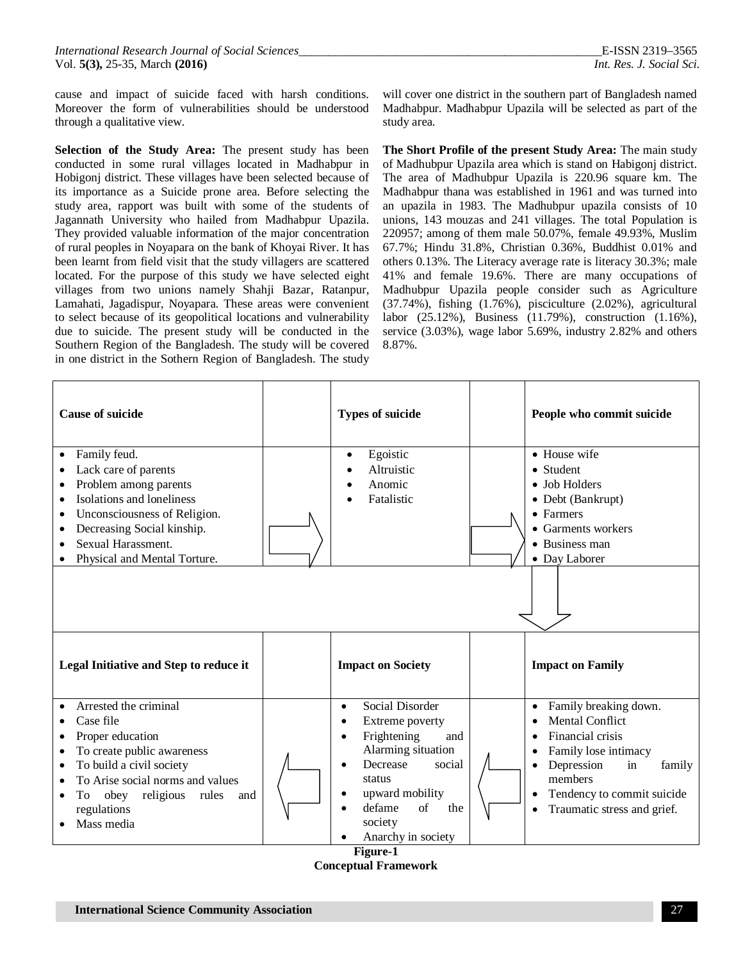cause and impact of suicide faced with harsh conditions. Moreover the form of vulnerabilities should be understood through a qualitative view.

**Selection of the Study Area:** The present study has been conducted in some rural villages located in Madhabpur in Hobigonj district. These villages have been selected because of its importance as a Suicide prone area. Before selecting the study area, rapport was built with some of the students of Jagannath University who hailed from Madhabpur Upazila. They provided valuable information of the major concentration of rural peoples in Noyapara on the bank of Khoyai River. It has been learnt from field visit that the study villagers are scattered located. For the purpose of this study we have selected eight villages from two unions namely Shahji Bazar, Ratanpur, Lamahati, Jagadispur, Noyapara. These areas were convenient to select because of its geopolitical locations and vulnerability due to suicide. The present study will be conducted in the Southern Region of the Bangladesh. The study will be covered in one district in the Sothern Region of Bangladesh. The study will cover one district in the southern part of Bangladesh named Madhabpur. Madhabpur Upazila will be selected as part of the study area.

**The Short Profile of the present Study Area:** The main study of Madhubpur Upazila area which is stand on Habigonj district. The area of Madhubpur Upazila is 220.96 square km. The Madhabpur thana was established in 1961 and was turned into an upazila in 1983. The Madhubpur upazila consists of 10 unions, 143 mouzas and 241 villages. The total Population is 220957; among of them male 50.07%, female 49.93%, Muslim 67.7%; Hindu 31.8%, Christian 0.36%, Buddhist 0.01% and others 0.13%. The Literacy average rate is literacy 30.3%; male 41% and female 19.6%. There are many occupations of Madhubpur Upazila people consider such as Agriculture (37.74%), fishing (1.76%), pisciculture (2.02%), agricultural labor (25.12%), Business (11.79%), construction (1.16%), service (3.03%), wage labor 5.69%, industry 2.82% and others 8.87%.

| <b>Cause of suicide</b>                                                                                                                                                                                                                                                  | <b>Types of suicide</b>                                                                                                                                                                                                                       | People who commit suicide                                                                                                                                                                                                                             |
|--------------------------------------------------------------------------------------------------------------------------------------------------------------------------------------------------------------------------------------------------------------------------|-----------------------------------------------------------------------------------------------------------------------------------------------------------------------------------------------------------------------------------------------|-------------------------------------------------------------------------------------------------------------------------------------------------------------------------------------------------------------------------------------------------------|
| Family feud.<br>$\bullet$<br>Lack care of parents<br>Problem among parents<br>٠<br>Isolations and loneliness<br>٠<br>Unconsciousness of Religion.<br>$\bullet$<br>Decreasing Social kinship.<br>٠<br>Sexual Harassment.<br>Physical and Mental Torture.                  | Egoistic<br>$\bullet$<br>Altruistic<br>Anomic<br>Fatalistic                                                                                                                                                                                   | $\bullet$ House wife<br>• Student<br>$\bullet$ Job Holders<br>• Debt (Bankrupt)<br>• Farmers<br>• Garments workers<br>• Business man<br>• Day Laborer                                                                                                 |
|                                                                                                                                                                                                                                                                          |                                                                                                                                                                                                                                               |                                                                                                                                                                                                                                                       |
| Legal Initiative and Step to reduce it                                                                                                                                                                                                                                   | <b>Impact on Society</b>                                                                                                                                                                                                                      | <b>Impact on Family</b>                                                                                                                                                                                                                               |
| Arrested the criminal<br>$\bullet$<br>Case file<br>Proper education<br>To create public awareness<br>$\bullet$<br>To build a civil society<br>$\bullet$<br>To Arise social norms and values<br>To<br>obey<br>religious<br>rules<br>and<br>٠<br>regulations<br>Mass media | Social Disorder<br>$\bullet$<br>Extreme poverty<br>$\bullet$<br>Frightening<br>and<br>$\bullet$<br>Alarming situation<br>Decrease<br>social<br>$\bullet$<br>status<br>upward mobility<br>of<br>defame<br>the<br>society<br>Anarchy in society | Family breaking down.<br>$\bullet$<br><b>Mental Conflict</b><br>Financial crisis<br>Family lose intimacy<br>$\bullet$<br>Depression<br>in<br>family<br>members<br>Tendency to commit suicide<br>$\bullet$<br>Traumatic stress and grief.<br>$\bullet$ |

**Figure-1 Conceptual Framework**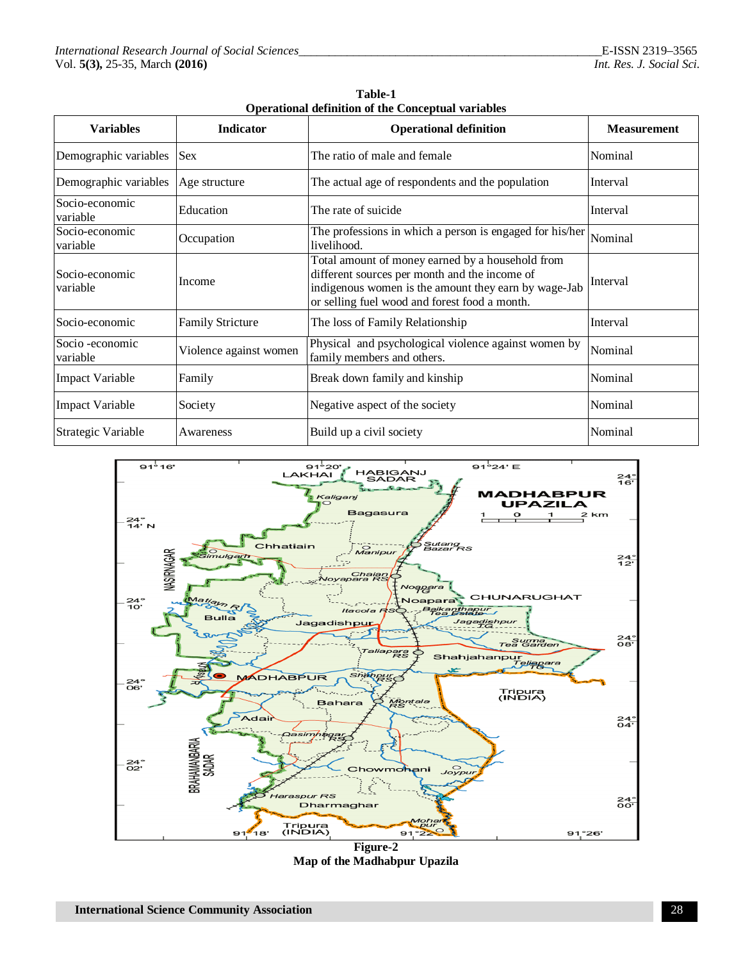| <b>Variables</b>            | Indicator               | <b>Operational definition</b>                                                                                                                                                                              | <b>Measurement</b> |
|-----------------------------|-------------------------|------------------------------------------------------------------------------------------------------------------------------------------------------------------------------------------------------------|--------------------|
| Demographic variables       | <b>Sex</b>              | The ratio of male and female                                                                                                                                                                               | Nominal            |
| Demographic variables       | Age structure           | The actual age of respondents and the population                                                                                                                                                           | Interval           |
| Socio-economic<br>variable  | Education               | The rate of suicide                                                                                                                                                                                        | Interval           |
| Socio-economic<br>variable  | Occupation              | The professions in which a person is engaged for his/her<br>livelihood.                                                                                                                                    | Nominal            |
| Socio-economic<br>variable  | Income                  | Total amount of money earned by a household from<br>different sources per month and the income of<br>indigenous women is the amount they earn by wage-Jab<br>or selling fuel wood and forest food a month. | Interval           |
| Socio-economic              | <b>Family Stricture</b> | The loss of Family Relationship                                                                                                                                                                            | Interval           |
| Socio -economic<br>variable | Violence against women  | Physical and psychological violence against women by<br>family members and others.                                                                                                                         | Nominal            |
| <b>Impact Variable</b>      | Family                  | Break down family and kinship                                                                                                                                                                              | Nominal            |
| <b>Impact Variable</b>      | Society                 | Negative aspect of the society                                                                                                                                                                             | Nominal            |
| Strategic Variable          | Awareness               | Build up a civil society                                                                                                                                                                                   | Nominal            |

|                                                           | Table-1 |  |
|-----------------------------------------------------------|---------|--|
| <b>Operational definition of the Conceptual variables</b> |         |  |
|                                                           |         |  |



**Figure-2 Map of the Madhabpur Upazila**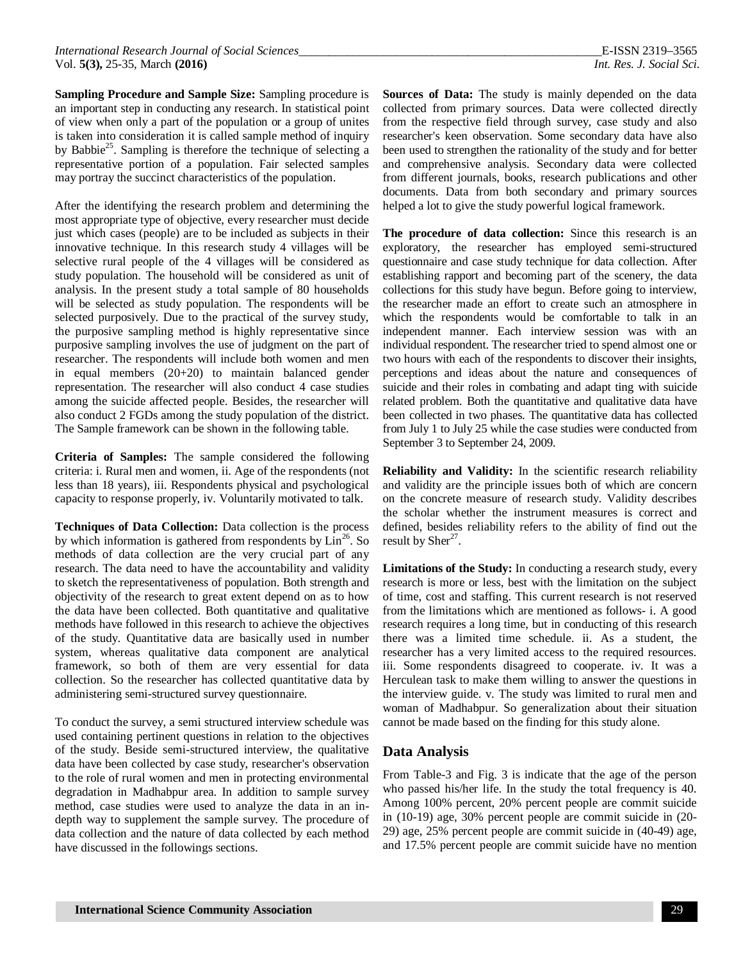**Sampling Procedure and Sample Size:** Sampling procedure is an important step in conducting any research. In statistical point of view when only a part of the population or a group of unites is taken into consideration it is called sample method of inquiry by Babbie<sup>25</sup>. Sampling is therefore the technique of selecting a representative portion of a population. Fair selected samples may portray the succinct characteristics of the population.

After the identifying the research problem and determining the most appropriate type of objective, every researcher must decide just which cases (people) are to be included as subjects in their innovative technique. In this research study 4 villages will be selective rural people of the 4 villages will be considered as study population. The household will be considered as unit of analysis. In the present study a total sample of 80 households will be selected as study population. The respondents will be selected purposively. Due to the practical of the survey study, the purposive sampling method is highly representative since purposive sampling involves the use of judgment on the part of researcher. The respondents will include both women and men in equal members (20+20) to maintain balanced gender representation. The researcher will also conduct 4 case studies among the suicide affected people. Besides, the researcher will also conduct 2 FGDs among the study population of the district. The Sample framework can be shown in the following table.

**Criteria of Samples:** The sample considered the following criteria: i. Rural men and women, ii. Age of the respondents (not less than 18 years), iii. Respondents physical and psychological capacity to response properly, iv. Voluntarily motivated to talk.

**Techniques of Data Collection:** Data collection is the process by which information is gathered from respondents by  $\text{Lin}^{26}$ . So methods of data collection are the very crucial part of any research. The data need to have the accountability and validity to sketch the representativeness of population. Both strength and objectivity of the research to great extent depend on as to how the data have been collected. Both quantitative and qualitative methods have followed in this research to achieve the objectives of the study. Quantitative data are basically used in number system, whereas qualitative data component are analytical framework, so both of them are very essential for data collection. So the researcher has collected quantitative data by administering semi-structured survey questionnaire.

To conduct the survey, a semi structured interview schedule was used containing pertinent questions in relation to the objectives of the study. Beside semi-structured interview, the qualitative data have been collected by case study, researcher's observation to the role of rural women and men in protecting environmental degradation in Madhabpur area. In addition to sample survey method, case studies were used to analyze the data in an indepth way to supplement the sample survey. The procedure of data collection and the nature of data collected by each method have discussed in the followings sections.

Sources of Data: The study is mainly depended on the data collected from primary sources. Data were collected directly from the respective field through survey, case study and also researcher's keen observation. Some secondary data have also been used to strengthen the rationality of the study and for better and comprehensive analysis. Secondary data were collected from different journals, books, research publications and other documents. Data from both secondary and primary sources helped a lot to give the study powerful logical framework.

**The procedure of data collection:** Since this research is an exploratory, the researcher has employed semi-structured questionnaire and case study technique for data collection. After establishing rapport and becoming part of the scenery, the data collections for this study have begun. Before going to interview, the researcher made an effort to create such an atmosphere in which the respondents would be comfortable to talk in an independent manner. Each interview session was with an individual respondent. The researcher tried to spend almost one or two hours with each of the respondents to discover their insights, perceptions and ideas about the nature and consequences of suicide and their roles in combating and adapt ting with suicide related problem. Both the quantitative and qualitative data have been collected in two phases. The quantitative data has collected from July 1 to July 25 while the case studies were conducted from September 3 to September 24, 2009.

**Reliability and Validity:** In the scientific research reliability and validity are the principle issues both of which are concern on the concrete measure of research study. Validity describes the scholar whether the instrument measures is correct and defined, besides reliability refers to the ability of find out the result by  $\text{Sher}^{27}$ .

**Limitations of the Study:** In conducting a research study, every research is more or less, best with the limitation on the subject of time, cost and staffing. This current research is not reserved from the limitations which are mentioned as follows- i. A good research requires a long time, but in conducting of this research there was a limited time schedule. ii. As a student, the researcher has a very limited access to the required resources. iii. Some respondents disagreed to cooperate. iv. It was a Herculean task to make them willing to answer the questions in the interview guide. v. The study was limited to rural men and woman of Madhabpur. So generalization about their situation cannot be made based on the finding for this study alone.

# **Data Analysis**

From Table-3 and Fig. 3 is indicate that the age of the person who passed his/her life. In the study the total frequency is 40. Among 100% percent, 20% percent people are commit suicide in (10-19) age, 30% percent people are commit suicide in (20- 29) age, 25% percent people are commit suicide in (40-49) age, and 17.5% percent people are commit suicide have no mention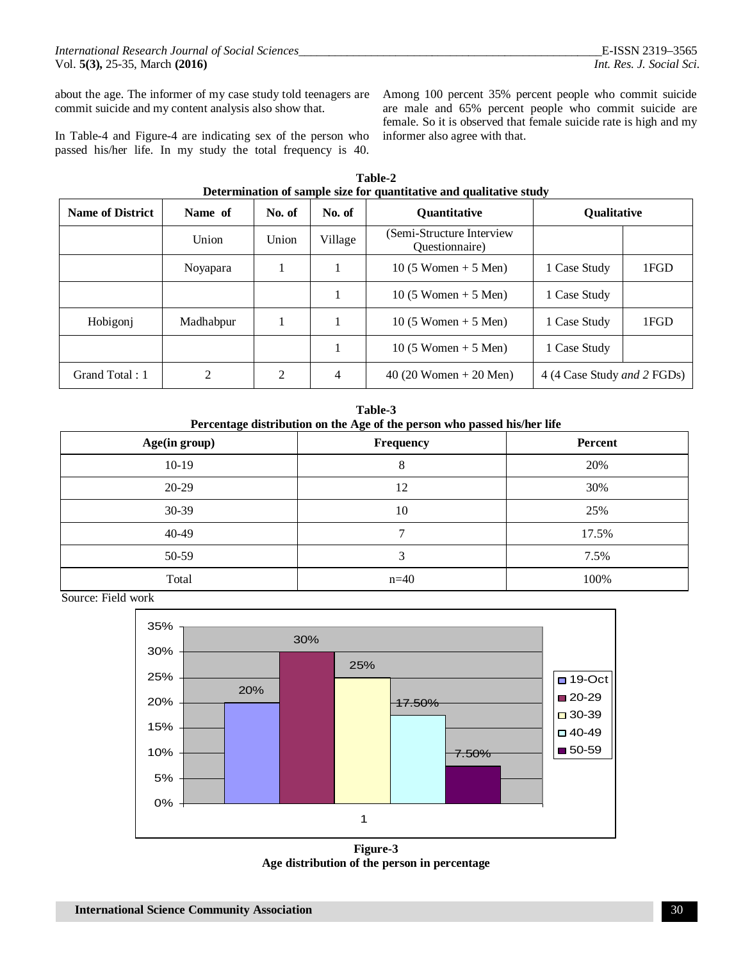about the age. The informer of my case study told teenagers are commit suicide and my content analysis also show that.

In Table-4 and Figure-4 are indicating sex of the person who passed his/her life. In my study the total frequency is 40.

Among 100 percent 35% percent people who commit suicide are male and 65% percent people who commit suicide are female. So it is observed that female suicide rate is high and my informer also agree with that.

| Determination of sample size for quantitative and qualitative study |                 |        |         |                                              |                                     |      |
|---------------------------------------------------------------------|-----------------|--------|---------|----------------------------------------------|-------------------------------------|------|
| <b>Name of District</b>                                             | Name of         | No. of | No. of  | <b>Quantitative</b>                          | Qualitative                         |      |
|                                                                     | Union           | Union  | Village | (Semi-Structure Interview)<br>Questionnaire) |                                     |      |
|                                                                     | <b>Noyapara</b> |        |         | $10(5 \text{ Women} + 5 \text{Men})$         | 1 Case Study                        | 1FGD |
|                                                                     |                 |        |         | 10 $(5 \text{ Women} + 5 \text{Men})$        | 1 Case Study                        |      |
| Hobigonj                                                            | Madhabpur       |        |         | $10(5 \text{ Women} + 5 \text{Men})$         | 1 Case Study                        | 1FGD |
|                                                                     |                 |        |         | 10 (5 Women $+$ 5 Men)                       | 1 Case Study                        |      |
| Grand Total: 1                                                      | $\mathfrak{D}$  | 2      | 4       | $40(20$ Women + 20 Men)                      | 4 (4 Case Study <i>and 2 FGDs</i> ) |      |

| Table-2                                                             |  |  |  |
|---------------------------------------------------------------------|--|--|--|
| Determination of sample size for quantitative and qualitative study |  |  |  |

**Table-3 Percentage distribution on the Age of the person who passed his/her life** 

| Age(in group) | Frequency    | Percent |
|---------------|--------------|---------|
| $10-19$       | 8            | 20%     |
| $20-29$       | 12           | 30%     |
| 30-39         | 10           | 25%     |
| 40-49         | $\mathbf{r}$ | 17.5%   |
| 50-59         | 3            | 7.5%    |
| Total         | $n=40$       | 100%    |

Source: Field work



**Figure-3 Age distribution of the person in percentage**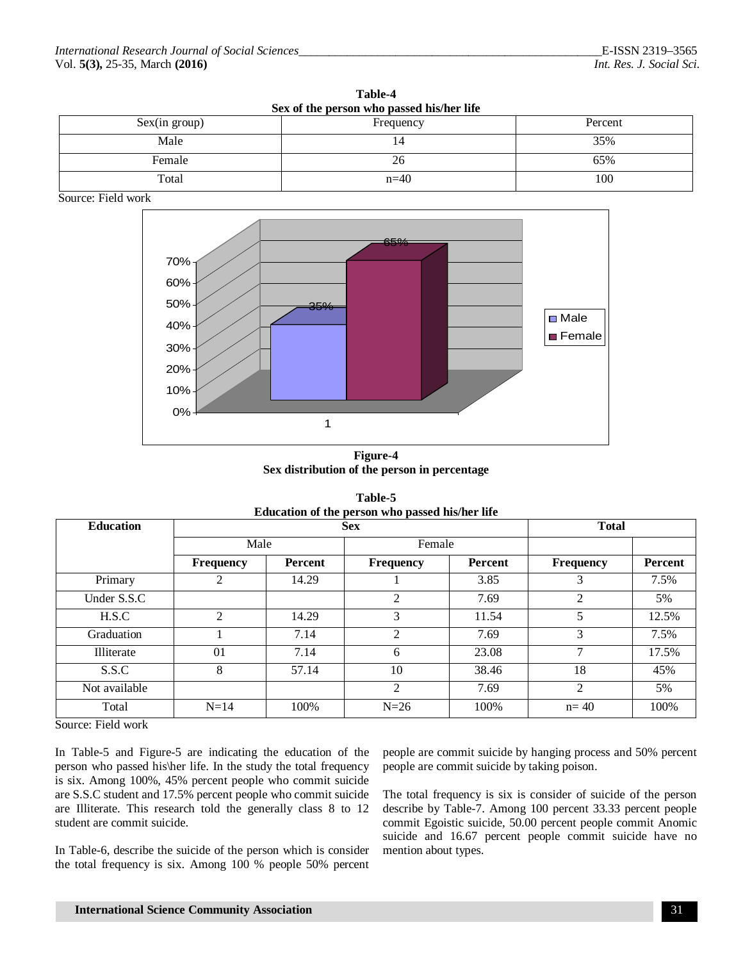| ташс-т                                    |           |         |  |  |
|-------------------------------------------|-----------|---------|--|--|
| Sex of the person who passed his/her life |           |         |  |  |
| Sex(in group)                             | Frequency | Percent |  |  |
| Male                                      | 14        | 35%     |  |  |
| Female                                    | 26        | 65%     |  |  |
| Total                                     | $n=40$    | 100     |  |  |

**Table-4**

Source: Field work



**Figure-4 Sex distribution of the person in percentage**

| Education of the person who passed his/her life |                  |         |                  |         |                  |         |
|-------------------------------------------------|------------------|---------|------------------|---------|------------------|---------|
| <b>Education</b>                                | <b>Sex</b>       |         |                  |         | <b>Total</b>     |         |
|                                                 | Male             |         | Female           |         |                  |         |
|                                                 | <b>Frequency</b> | Percent | <b>Frequency</b> | Percent | <b>Frequency</b> | Percent |
| Primary                                         | 2                | 14.29   |                  | 3.85    | 3                | 7.5%    |
| Under S.S.C                                     |                  |         | 2                | 7.69    | $\overline{2}$   | 5%      |
| H.S.C                                           | $\mathfrak{D}$   | 14.29   | 3                | 11.54   | 5.               | 12.5%   |
| Graduation                                      |                  | 7.14    | $\mathfrak{D}$   | 7.69    | 3                | 7.5%    |
| Illiterate                                      | 01               | 7.14    | 6                | 23.08   | 7                | 17.5%   |
| S.S.C                                           | 8                | 57.14   | 10               | 38.46   | 18               | 45%     |
| Not available                                   |                  |         | 2                | 7.69    | $\mathfrak{D}$   | 5%      |
| Total                                           | $N=14$           | 100%    | $N=26$           | 100%    | $n = 40$         | 100%    |

**Table-5 Education of the person who passed his/her life** 

Source: Field work

In Table-5 and Figure-5 are indicating the education of the person who passed his\her life. In the study the total frequency is six. Among 100%, 45% percent people who commit suicide are S.S.C student and 17.5% percent people who commit suicide are Illiterate. This research told the generally class 8 to 12 student are commit suicide.

In Table-6, describe the suicide of the person which is consider the total frequency is six. Among 100 % people 50% percent people are commit suicide by hanging process and 50% percent people are commit suicide by taking poison.

The total frequency is six is consider of suicide of the person describe by Table-7. Among 100 percent 33.33 percent people commit Egoistic suicide, 50.00 percent people commit Anomic suicide and 16.67 percent people commit suicide have no mention about types.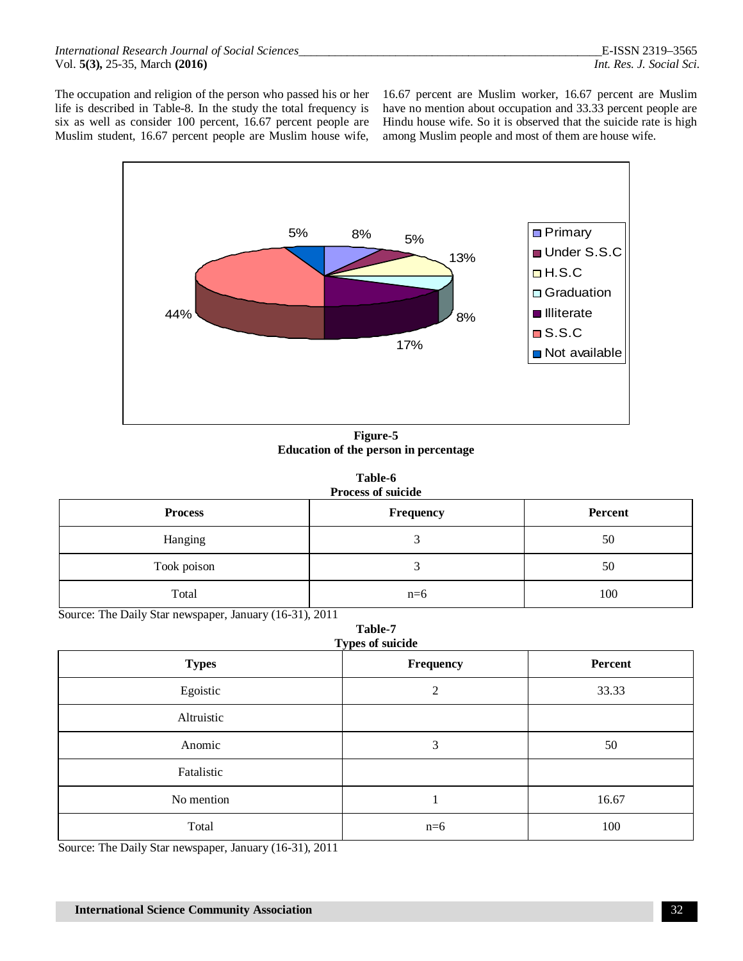The occupation and religion of the person who passed his or her life is described in Table-8. In the study the total frequency is six as well as consider 100 percent, 16.67 percent people are Muslim student, 16.67 percent people are Muslim house wife,

16.67 percent are Muslim worker, 16.67 percent are Muslim have no mention about occupation and 33.33 percent people are Hindu house wife. So it is observed that the suicide rate is high among Muslim people and most of them are house wife.



**Figure-5 Education of the person in percentage**

| Table-6                   |  |  |  |
|---------------------------|--|--|--|
| <b>Process of suicide</b> |  |  |  |

| <b>Process</b> | <b>Frequency</b> | Percent |
|----------------|------------------|---------|
| Hanging        |                  | 50      |
| Took poison    |                  | 50      |
| Total          | $n=6$            | 100     |

Source: The Daily Star newspaper, January (16-31), 2011

|  | <b>Table-7</b> |
|--|----------------|
|  | nge of enicida |

| <b>Types</b> | Types of suicide<br>Frequency | Percent |
|--------------|-------------------------------|---------|
| Egoistic     | $\overline{2}$                | 33.33   |
| Altruistic   |                               |         |
| Anomic       | 3                             | 50      |
| Fatalistic   |                               |         |
| No mention   |                               | 16.67   |
| Total        | $n=6$                         | 100     |

Source: The Daily Star newspaper, January (16-31), 2011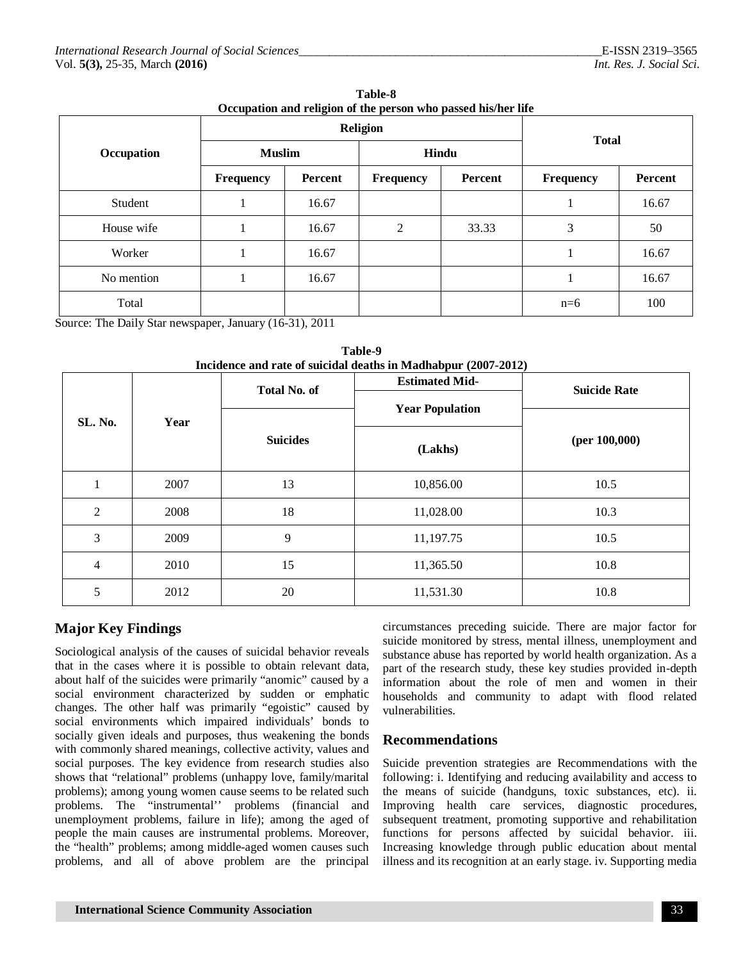| Occupation and religion of the person who passed ms/her life |                  |         |                  |         |                  |         |  |  |  |
|--------------------------------------------------------------|------------------|---------|------------------|---------|------------------|---------|--|--|--|
|                                                              | <b>Religion</b>  |         |                  |         | <b>Total</b>     |         |  |  |  |
| Occupation                                                   | <b>Muslim</b>    |         | Hindu            |         |                  |         |  |  |  |
|                                                              | <b>Frequency</b> | Percent | <b>Frequency</b> | Percent | <b>Frequency</b> | Percent |  |  |  |
| Student                                                      |                  | 16.67   |                  |         |                  | 16.67   |  |  |  |
| House wife                                                   |                  | 16.67   | $\overline{2}$   | 33.33   | 3                | 50      |  |  |  |
| Worker                                                       |                  | 16.67   |                  |         |                  | 16.67   |  |  |  |
| No mention                                                   |                  | 16.67   |                  |         |                  | 16.67   |  |  |  |
| Total                                                        |                  |         |                  |         | $n=6$            | 100     |  |  |  |

**Table-8 Occupation and religion of the person who passed his/her life** 

Source: The Daily Star newspaper, January (16-31), 2011

| SL. No.        |      | <b>Total No. of</b> | <b>Estimated Mid-</b>  | <b>Suicide Rate</b><br>(per $100,000$ ) |  |
|----------------|------|---------------------|------------------------|-----------------------------------------|--|
|                | Year |                     | <b>Year Population</b> |                                         |  |
|                |      | <b>Suicides</b>     | (Lakhs)                |                                         |  |
|                | 2007 | 13                  | 10,856.00              | 10.5                                    |  |
| $\overline{2}$ | 2008 | 18                  | 11,028.00              | 10.3                                    |  |
| 3              | 2009 | 9                   | 11,197.75              | 10.5                                    |  |
| 4              | 2010 | 15                  | 11,365.50              | 10.8                                    |  |
| 5              | 2012 | 20                  | 11,531.30              | 10.8                                    |  |

**Table-9**

# **Major Key Findings**

Sociological analysis of the causes of suicidal behavior reveals that in the cases where it is possible to obtain relevant data, about half of the suicides were primarily "anomic" caused by a social environment characterized by sudden or emphatic changes. The other half was primarily "egoistic" caused by social environments which impaired individuals' bonds to socially given ideals and purposes, thus weakening the bonds with commonly shared meanings, collective activity, values and social purposes. The key evidence from research studies also shows that "relational" problems (unhappy love, family/marital problems); among young women cause seems to be related such problems. The "instrumental'' problems (financial and unemployment problems, failure in life); among the aged of people the main causes are instrumental problems. Moreover, the "health" problems; among middle-aged women causes such problems, and all of above problem are the principal

circumstances preceding suicide. There are major factor for suicide monitored by stress, mental illness, unemployment and substance abuse has reported by world health organization. As a part of the research study, these key studies provided in-depth information about the role of men and women in their households and community to adapt with flood related vulnerabilities.

# **Recommendations**

Suicide prevention strategies are Recommendations with the following: i. Identifying and reducing availability and access to the means of suicide (handguns, toxic substances, etc). ii. Improving health care services, diagnostic procedures, subsequent treatment, promoting supportive and rehabilitation functions for persons affected by suicidal behavior. iii. Increasing knowledge through public education about mental illness and its recognition at an early stage. iv. Supporting media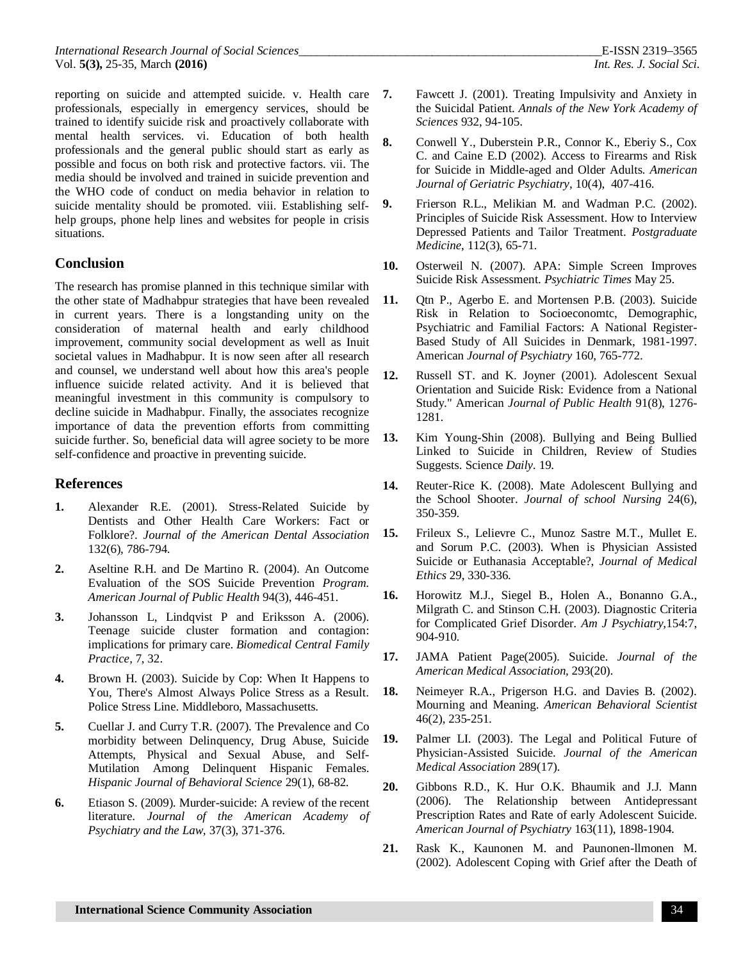*International Research Journal of Social Sciences\_\_\_\_\_\_\_\_\_\_\_\_\_\_\_\_\_\_\_\_\_\_\_\_\_\_\_\_\_\_\_\_\_\_\_\_\_\_\_\_\_\_\_\_\_\_\_\_\_\_*E-ISSN 2319–3565 Vol. **5(3),** 25-35, March **(2016)** *Int. Res. J. Social Sci.*

reporting on suicide and attempted suicide. v. Health care 7. professionals, especially in emergency services, should be trained to identify suicide risk and proactively collaborate with mental health services. vi. Education of both health professionals and the general public should start as early as possible and focus on both risk and protective factors. vii. The media should be involved and trained in suicide prevention and the WHO code of conduct on media behavior in relation to suicide mentality should be promoted. viii. Establishing selfhelp groups, phone help lines and websites for people in crisis situations.

#### **Conclusion**

The research has promise planned in this technique similar with the other state of Madhabpur strategies that have been revealed in current years. There is a longstanding unity on the consideration of maternal health and early childhood improvement, community social development as well as Inuit societal values in Madhabpur. It is now seen after all research and counsel, we understand well about how this area's people influence suicide related activity. And it is believed that meaningful investment in this community is compulsory to decline suicide in Madhabpur. Finally, the associates recognize importance of data the prevention efforts from committing suicide further. So, beneficial data will agree society to be more self-confidence and proactive in preventing suicide.

#### **References**

- **1.** Alexander R.E. (2001). Stress-Related Suicide by Dentists and Other Health Care Workers: Fact or Folklore?. *Journal of the American Dental Association*  132(6), 786-794.
- **2.** Aseltine R.H. and De Martino R. (2004). An Outcome Evaluation of the SOS Suicide Prevention *Program. American Journal of Public Health* 94(3), 446-451.
- **3.** Johansson L, Lindqvist P and Eriksson A. (2006). Teenage suicide cluster formation and contagion: implications for primary care. *Biomedical Central Family Practice,* 7, 32.
- **4.** Brown H. (2003). Suicide by Cop: When It Happens to You, There's Almost Always Police Stress as a Result. Police Stress Line. Middleboro, Massachusetts.
- **5.** Cuellar J. and Curry T.R. (2007). The Prevalence and Co morbidity between Delinquency, Drug Abuse, Suicide Attempts, Physical and Sexual Abuse, and Self-Mutilation Among Delinquent Hispanic Females. *Hispanic Journal of Behavioral Science* 29(1), 68-82.
- **6.** Etiason S. (2009). Murder-suicide: A review of the recent literature. *Journal of the American Academy of Psychiatry and the Law,* 37(3), 371-376.
- **7.** Fawcett J. (2001). Treating Impulsivity and Anxiety in the Suicidal Patient. *Annals of the New York Academy of Sciences* 932, 94-105.
- **8.** Conwell Y., Duberstein P.R., Connor K., Eberiy S., Cox C. and Caine E.D (2002). Access to Firearms and Risk for Suicide in Middle-aged and Older Adults. *American Journal of Geriatric Psychiatry,* 10(4), 407-416.
- **9.** Frierson R.L., Melikian M. and Wadman P.C. (2002). Principles of Suicide Risk Assessment. How to Interview Depressed Patients and Tailor Treatment. *Postgraduate Medicine*, 112(3), 65-71.
- **10.** Osterweil N. (2007). APA: Simple Screen Improves Suicide Risk Assessment. *Psychiatric Times* May 25.
- **11.** Qtn P., Agerbo E. and Mortensen P.B. (2003). Suicide Risk in Relation to Socioeconomtc, Demographic, Psychiatric and Familial Factors: A National Register-Based Study of All Suicides in Denmark, 1981-1997. American *Journal of Psychiatry* 160, 765-772.
- **12.** Russell ST. and K. Joyner (2001). Adolescent Sexual Orientation and Suicide Risk: Evidence from a National Study." American *Journal of Public Health* 91(8), 1276- 1281.
- **13.** Kim Young-Shin (2008). Bullying and Being Bullied Linked to Suicide in Children, Review of Studies Suggests. Science *Daily.* 19.
- **14.** Reuter-Rice K. (2008). Mate Adolescent Bullying and the School Shooter. *Journal of school Nursing* 24(6), 350-359.
- **15.** Frileux S., Lelievre C., Munoz Sastre M.T., Mullet E. and Sorum P.C. (2003). When is Physician Assisted Suicide or Euthanasia Acceptable?, *Journal of Medical Ethics* 29, 330-336.
- **16.** Horowitz M.J., Siegel B., Holen A., Bonanno G.A., Milgrath C. and Stinson C.H. (2003). Diagnostic Criteria for Complicated Grief Disorder. *Am J Psychiatry,*154:7, 904-910.
- **17.** JAMA Patient Page(2005). Suicide. *Journal of the American Medical Association,* 293(20).
- **18.** Neimeyer R.A., Prigerson H.G. and Davies B. (2002). Mourning and Meaning. *American Behavioral Scientist*  46(2), 235-251.
- **19.** Palmer LI. (2003). The Legal and Political Future of Physician-Assisted Suicide. *Journal of the American Medical Association* 289(17).
- **20.** Gibbons R.D., K. Hur O.K. Bhaumik and J.J. Mann (2006). The Relationship between Antidepressant Prescription Rates and Rate of early Adolescent Suicide. *American Journal of Psychiatry* 163(11), 1898-1904.
- **21.** Rask K., Kaunonen M. and Paunonen-llmonen M. (2002). Adolescent Coping with Grief after the Death of